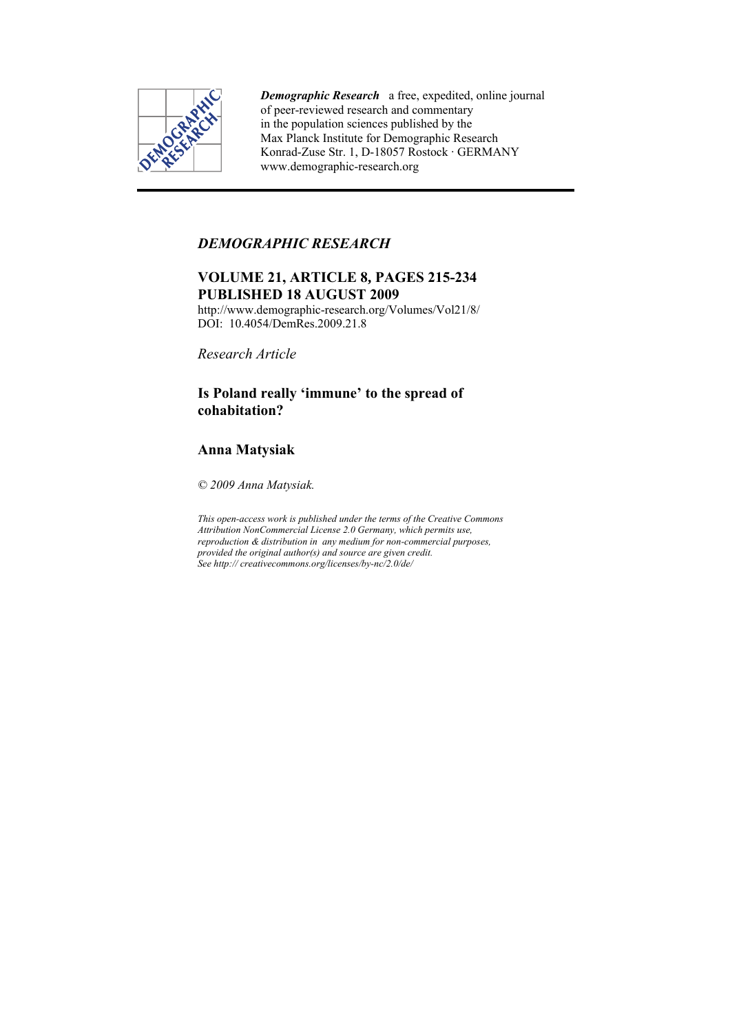

*Demographic Research* a free, expedited, online journal of peer-reviewed research and commentary in the population sciences published by the Max Planck Institute for Demographic Research Konrad-Zuse Str. 1, D-18057 Rostock · GERMANY www.demographic-research.org

## *DEMOGRAPHIC RESEARCH*

# **VOLUME 21, ARTICLE 8, PAGES 215-234 PUBLISHED 18 AUGUST 2009**

http://www.demographic-research.org/Volumes/Vol21/8/ DOI: 10.4054/DemRes.2009.21.8

*Research Article* 

# **Is Poland really 'immune' to the spread of cohabitation?**

# **Anna Matysiak**

*© 2009 Anna Matysiak.* 

*This open-access work is published under the terms of the Creative Commons Attribution NonCommercial License 2.0 Germany, which permits use, reproduction & distribution in any medium for non-commercial purposes, provided the original author(s) and source are given credit. See http:// creativecommons.org/licenses/by-nc/2.0/de/*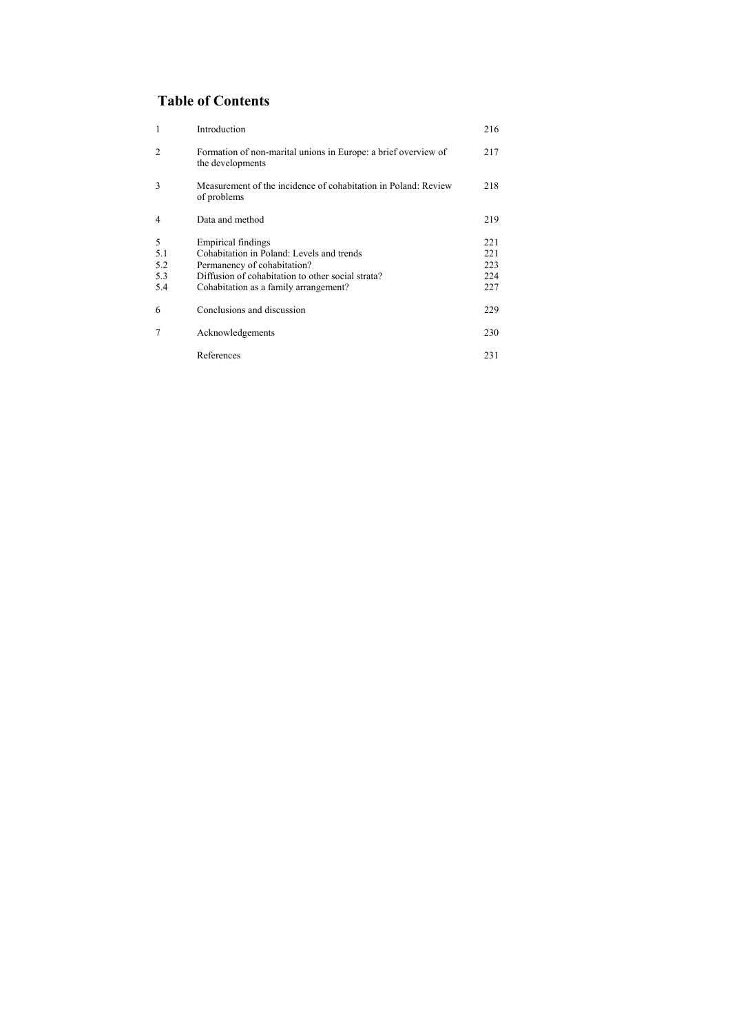# **Table of Contents**

| $\mathbf{1}$   | Introduction                                                                       | 216 |
|----------------|------------------------------------------------------------------------------------|-----|
| $\overline{2}$ | Formation of non-marital unions in Europe: a brief overview of<br>the developments | 217 |
| 3              | Measurement of the incidence of cohabitation in Poland: Review<br>of problems      | 218 |
| $\overline{4}$ | Data and method                                                                    | 219 |
| 5              | Empirical findings                                                                 | 221 |
| 5.1            | Cohabitation in Poland: Levels and trends                                          | 221 |
| 5.2            | Permanency of cohabitation?                                                        | 223 |
| 5.3            | Diffusion of cohabitation to other social strata?                                  | 224 |
| 5.4            | Cohabitation as a family arrangement?                                              | 227 |
| 6              | Conclusions and discussion                                                         | 229 |
| 7              | Acknowledgements                                                                   | 230 |
|                | References                                                                         | 231 |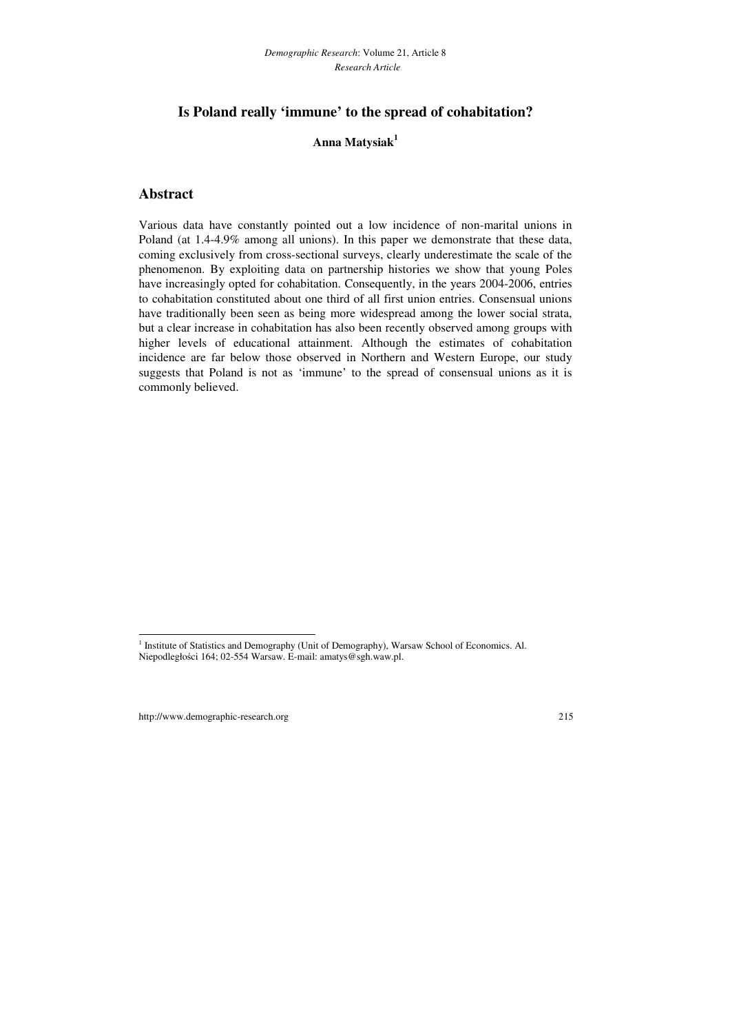## **Is Poland really 'immune' to the spread of cohabitation?**

## **Anna Matysiak<sup>1</sup>**

## **Abstract**

Various data have constantly pointed out a low incidence of non-marital unions in Poland (at 1.4-4.9% among all unions). In this paper we demonstrate that these data, coming exclusively from cross-sectional surveys, clearly underestimate the scale of the phenomenon. By exploiting data on partnership histories we show that young Poles have increasingly opted for cohabitation. Consequently, in the years 2004-2006, entries to cohabitation constituted about one third of all first union entries. Consensual unions have traditionally been seen as being more widespread among the lower social strata, but a clear increase in cohabitation has also been recently observed among groups with higher levels of educational attainment. Although the estimates of cohabitation incidence are far below those observed in Northern and Western Europe, our study suggests that Poland is not as 'immune' to the spread of consensual unions as it is commonly believed.

l

<sup>&</sup>lt;sup>1</sup> Institute of Statistics and Demography (Unit of Demography), Warsaw School of Economics. Al. Niepodległości 164; 02-554 Warsaw. E-mail: amatys@sgh.waw.pl.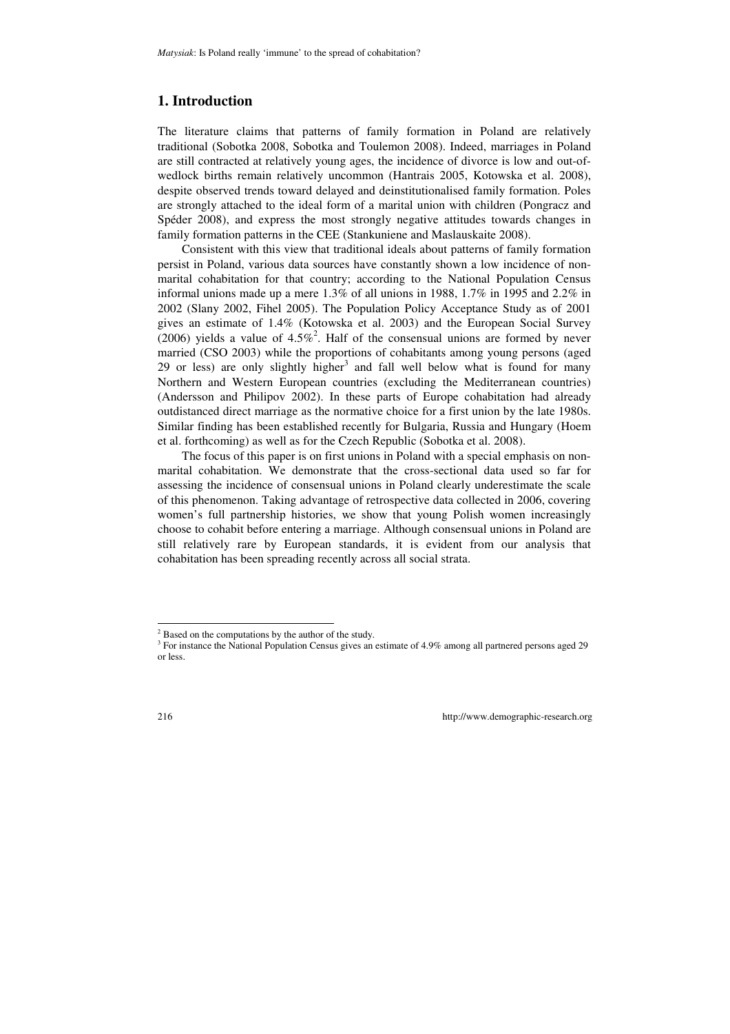## **1. Introduction**

The literature claims that patterns of family formation in Poland are relatively traditional (Sobotka 2008, Sobotka and Toulemon 2008). Indeed, marriages in Poland are still contracted at relatively young ages, the incidence of divorce is low and out-ofwedlock births remain relatively uncommon (Hantrais 2005, Kotowska et al. 2008), despite observed trends toward delayed and deinstitutionalised family formation. Poles are strongly attached to the ideal form of a marital union with children (Pongracz and Spéder 2008), and express the most strongly negative attitudes towards changes in family formation patterns in the CEE (Stankuniene and Maslauskaite 2008).

Consistent with this view that traditional ideals about patterns of family formation persist in Poland, various data sources have constantly shown a low incidence of nonmarital cohabitation for that country; according to the National Population Census informal unions made up a mere 1.3% of all unions in 1988, 1.7% in 1995 and 2.2% in 2002 (Slany 2002, Fihel 2005). The Population Policy Acceptance Study as of 2001 gives an estimate of 1.4% (Kotowska et al. 2003) and the European Social Survey (2006) yields a value of  $4.5\%$ <sup>2</sup>. Half of the consensual unions are formed by never married (CSO 2003) while the proportions of cohabitants among young persons (aged 29 or less) are only slightly higher<sup>3</sup> and fall well below what is found for many Northern and Western European countries (excluding the Mediterranean countries) (Andersson and Philipov 2002). In these parts of Europe cohabitation had already outdistanced direct marriage as the normative choice for a first union by the late 1980s. Similar finding has been established recently for Bulgaria, Russia and Hungary (Hoem et al. forthcoming) as well as for the Czech Republic (Sobotka et al. 2008).

The focus of this paper is on first unions in Poland with a special emphasis on nonmarital cohabitation. We demonstrate that the cross-sectional data used so far for assessing the incidence of consensual unions in Poland clearly underestimate the scale of this phenomenon. Taking advantage of retrospective data collected in 2006, covering women's full partnership histories, we show that young Polish women increasingly choose to cohabit before entering a marriage. Although consensual unions in Poland are still relatively rare by European standards, it is evident from our analysis that cohabitation has been spreading recently across all social strata.

l

 $2^2$  Based on the computations by the author of the study.

<sup>&</sup>lt;sup>3</sup> For instance the National Population Census gives an estimate of 4.9% among all partnered persons aged 29 or less.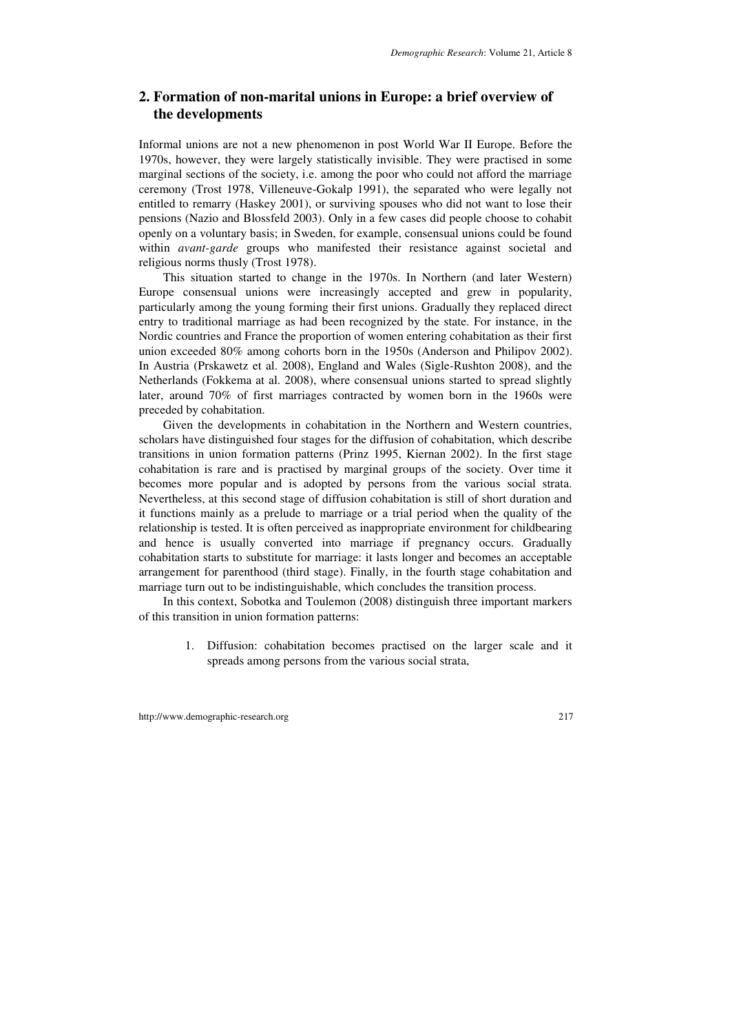## **2. Formation of non-marital unions in Europe: a brief overview of the developments**

Informal unions are not a new phenomenon in post World War II Europe. Before the 1970s, however, they were largely statistically invisible. They were practised in some marginal sections of the society, i.e. among the poor who could not afford the marriage ceremony (Trost 1978, Villeneuve-Gokalp 1991), the separated who were legally not entitled to remarry (Haskey 2001), or surviving spouses who did not want to lose their pensions (Nazio and Blossfeld 2003). Only in a few cases did people choose to cohabit openly on a voluntary basis; in Sweden, for example, consensual unions could be found within *avant-garde* groups who manifested their resistance against societal and religious norms thusly (Trost 1978).

This situation started to change in the 1970s. In Northern (and later Western) Europe consensual unions were increasingly accepted and grew in popularity, particularly among the young forming their first unions. Gradually they replaced direct entry to traditional marriage as had been recognized by the state. For instance, in the Nordic countries and France the proportion of women entering cohabitation as their first union exceeded 80% among cohorts born in the 1950s (Anderson and Philipov 2002). In Austria (Prskawetz et al. 2008), England and Wales (Sigle-Rushton 2008), and the Netherlands (Fokkema at al. 2008), where consensual unions started to spread slightly later, around 70% of first marriages contracted by women born in the 1960s were preceded by cohabitation.

Given the developments in cohabitation in the Northern and Western countries, scholars have distinguished four stages for the diffusion of cohabitation, which describe transitions in union formation patterns (Prinz 1995, Kiernan 2002). In the first stage cohabitation is rare and is practised by marginal groups of the society. Over time it becomes more popular and is adopted by persons from the various social strata. Nevertheless, at this second stage of diffusion cohabitation is still of short duration and it functions mainly as a prelude to marriage or a trial period when the quality of the relationship is tested. It is often perceived as inappropriate environment for childbearing and hence is usually converted into marriage if pregnancy occurs. Gradually cohabitation starts to substitute for marriage: it lasts longer and becomes an acceptable arrangement for parenthood (third stage). Finally, in the fourth stage cohabitation and marriage turn out to be indistinguishable, which concludes the transition process.

In this context, Sobotka and Toulemon (2008) distinguish three important markers of this transition in union formation patterns:

> 1. Diffusion: cohabitation becomes practised on the larger scale and it spreads among persons from the various social strata,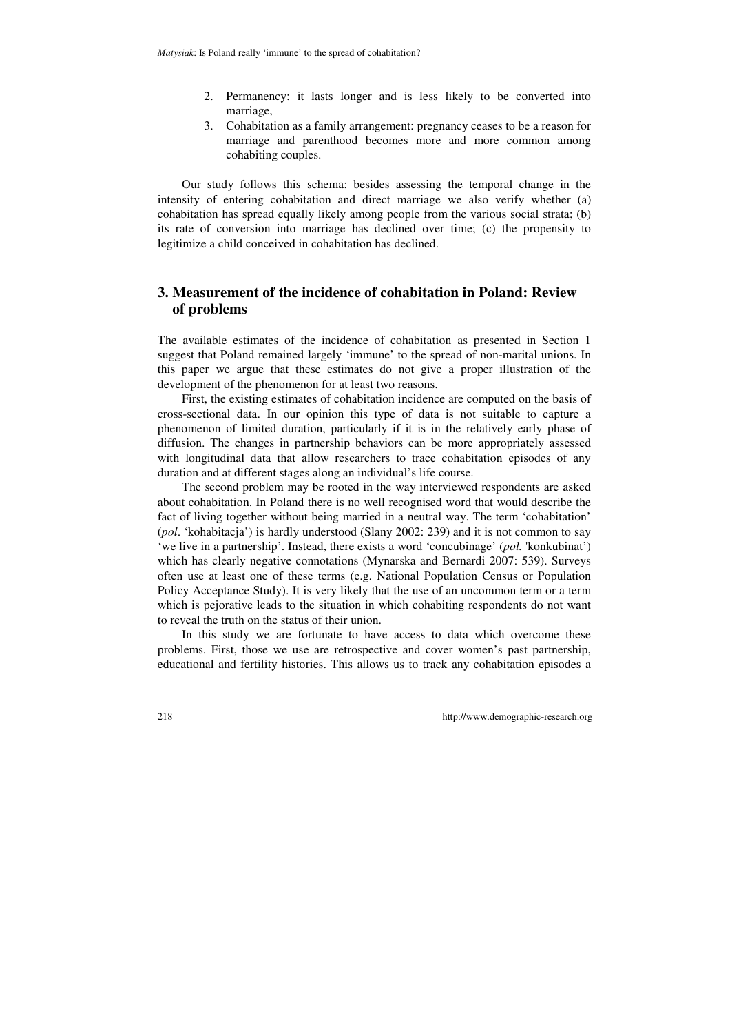- 2. Permanency: it lasts longer and is less likely to be converted into marriage,
- 3. Cohabitation as a family arrangement: pregnancy ceases to be a reason for marriage and parenthood becomes more and more common among cohabiting couples.

Our study follows this schema: besides assessing the temporal change in the intensity of entering cohabitation and direct marriage we also verify whether (a) cohabitation has spread equally likely among people from the various social strata; (b) its rate of conversion into marriage has declined over time; (c) the propensity to legitimize a child conceived in cohabitation has declined.

## **3. Measurement of the incidence of cohabitation in Poland: Review of problems**

The available estimates of the incidence of cohabitation as presented in Section 1 suggest that Poland remained largely 'immune' to the spread of non-marital unions. In this paper we argue that these estimates do not give a proper illustration of the development of the phenomenon for at least two reasons.

First, the existing estimates of cohabitation incidence are computed on the basis of cross-sectional data. In our opinion this type of data is not suitable to capture a phenomenon of limited duration, particularly if it is in the relatively early phase of diffusion. The changes in partnership behaviors can be more appropriately assessed with longitudinal data that allow researchers to trace cohabitation episodes of any duration and at different stages along an individual's life course.

The second problem may be rooted in the way interviewed respondents are asked about cohabitation. In Poland there is no well recognised word that would describe the fact of living together without being married in a neutral way. The term 'cohabitation' (*pol*. 'kohabitacja') is hardly understood (Slany 2002: 239) and it is not common to say 'we live in a partnership'. Instead, there exists a word 'concubinage' (*pol.* 'konkubinat') which has clearly negative connotations (Mynarska and Bernardi 2007: 539). Surveys often use at least one of these terms (e.g. National Population Census or Population Policy Acceptance Study). It is very likely that the use of an uncommon term or a term which is pejorative leads to the situation in which cohabiting respondents do not want to reveal the truth on the status of their union.

In this study we are fortunate to have access to data which overcome these problems. First, those we use are retrospective and cover women's past partnership, educational and fertility histories. This allows us to track any cohabitation episodes a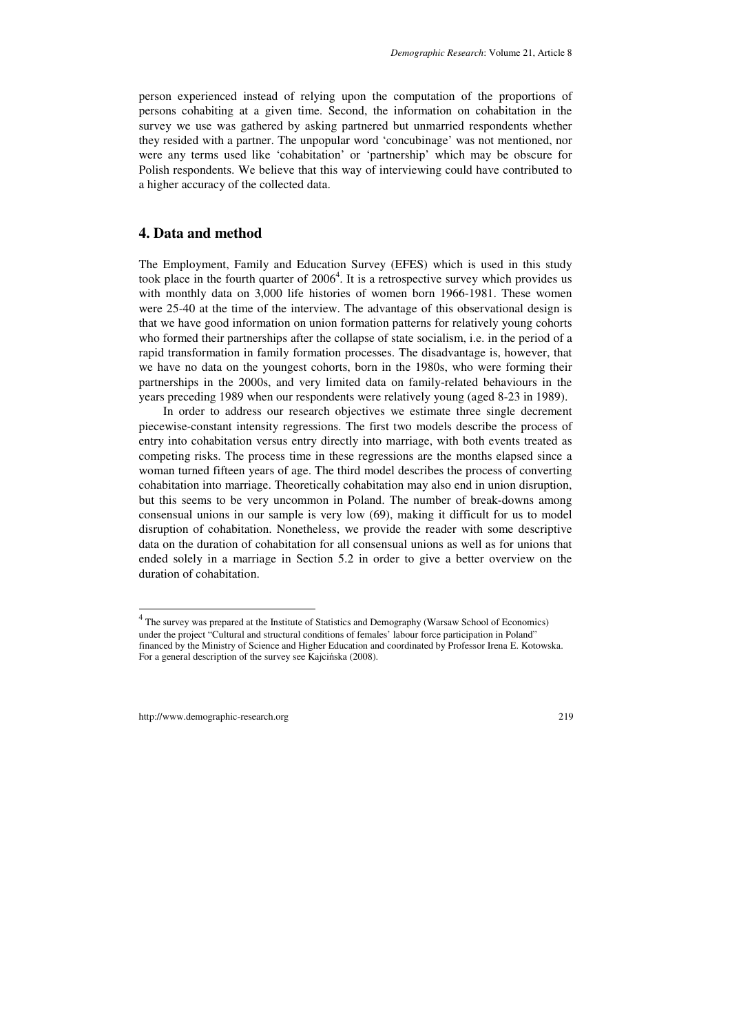person experienced instead of relying upon the computation of the proportions of persons cohabiting at a given time. Second, the information on cohabitation in the survey we use was gathered by asking partnered but unmarried respondents whether they resided with a partner. The unpopular word 'concubinage' was not mentioned, nor were any terms used like 'cohabitation' or 'partnership' which may be obscure for Polish respondents. We believe that this way of interviewing could have contributed to a higher accuracy of the collected data.

### **4. Data and method**

The Employment, Family and Education Survey (EFES) which is used in this study took place in the fourth quarter of  $2006<sup>4</sup>$ . It is a retrospective survey which provides us with monthly data on 3,000 life histories of women born 1966-1981. These women were 25-40 at the time of the interview. The advantage of this observational design is that we have good information on union formation patterns for relatively young cohorts who formed their partnerships after the collapse of state socialism, i.e. in the period of a rapid transformation in family formation processes. The disadvantage is, however, that we have no data on the youngest cohorts, born in the 1980s, who were forming their partnerships in the 2000s, and very limited data on family-related behaviours in the years preceding 1989 when our respondents were relatively young (aged 8-23 in 1989).

In order to address our research objectives we estimate three single decrement piecewise-constant intensity regressions. The first two models describe the process of entry into cohabitation versus entry directly into marriage, with both events treated as competing risks. The process time in these regressions are the months elapsed since a woman turned fifteen years of age. The third model describes the process of converting cohabitation into marriage. Theoretically cohabitation may also end in union disruption, but this seems to be very uncommon in Poland. The number of break-downs among consensual unions in our sample is very low (69), making it difficult for us to model disruption of cohabitation. Nonetheless, we provide the reader with some descriptive data on the duration of cohabitation for all consensual unions as well as for unions that ended solely in a marriage in Section 5.2 in order to give a better overview on the duration of cohabitation.

l

 $4$  The survey was prepared at the Institute of Statistics and Demography (Warsaw School of Economics) under the project "Cultural and structural conditions of females' labour force participation in Poland" financed by the Ministry of Science and Higher Education and coordinated by Professor Irena E. Kotowska. For a general description of the survey see Kajcińska (2008).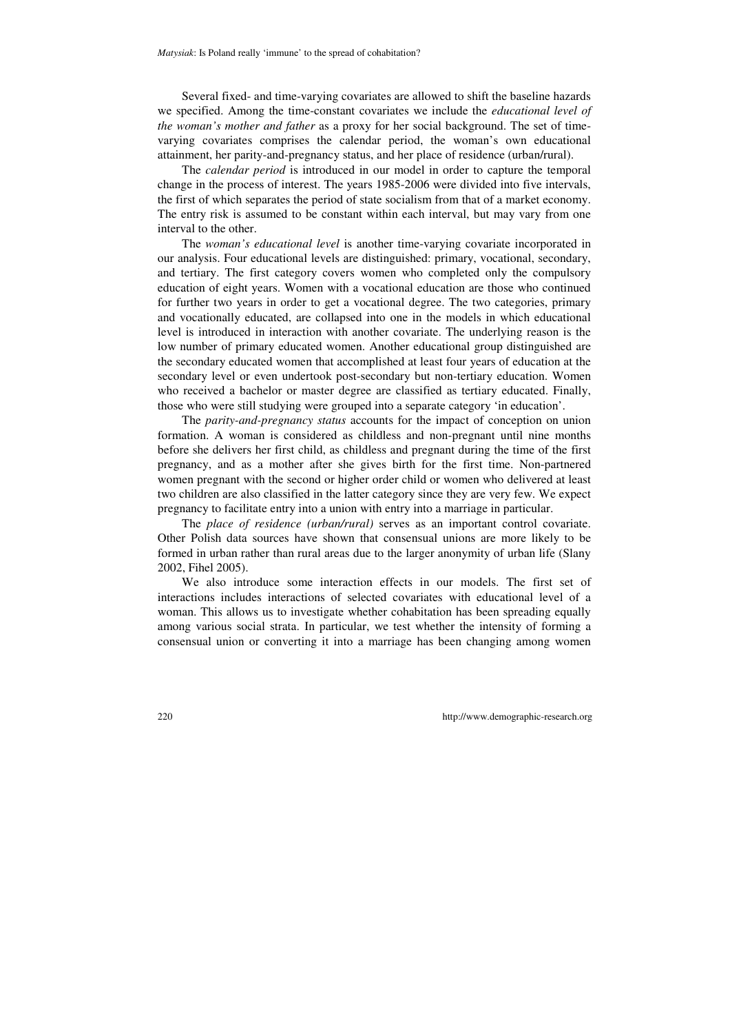Several fixed- and time-varying covariates are allowed to shift the baseline hazards we specified. Among the time-constant covariates we include the *educational level of the woman's mother and father* as a proxy for her social background. The set of timevarying covariates comprises the calendar period, the woman's own educational attainment, her parity-and-pregnancy status, and her place of residence (urban/rural).

The *calendar period* is introduced in our model in order to capture the temporal change in the process of interest. The years 1985-2006 were divided into five intervals, the first of which separates the period of state socialism from that of a market economy. The entry risk is assumed to be constant within each interval, but may vary from one interval to the other.

The *woman's educational level* is another time-varying covariate incorporated in our analysis. Four educational levels are distinguished: primary, vocational, secondary, and tertiary. The first category covers women who completed only the compulsory education of eight years. Women with a vocational education are those who continued for further two years in order to get a vocational degree. The two categories, primary and vocationally educated, are collapsed into one in the models in which educational level is introduced in interaction with another covariate. The underlying reason is the low number of primary educated women. Another educational group distinguished are the secondary educated women that accomplished at least four years of education at the secondary level or even undertook post-secondary but non-tertiary education. Women who received a bachelor or master degree are classified as tertiary educated. Finally, those who were still studying were grouped into a separate category 'in education'.

The *parity-and-pregnancy status* accounts for the impact of conception on union formation. A woman is considered as childless and non-pregnant until nine months before she delivers her first child, as childless and pregnant during the time of the first pregnancy, and as a mother after she gives birth for the first time. Non-partnered women pregnant with the second or higher order child or women who delivered at least two children are also classified in the latter category since they are very few. We expect pregnancy to facilitate entry into a union with entry into a marriage in particular.

The *place of residence (urban/rural)* serves as an important control covariate. Other Polish data sources have shown that consensual unions are more likely to be formed in urban rather than rural areas due to the larger anonymity of urban life (Slany 2002, Fihel 2005).

We also introduce some interaction effects in our models. The first set of interactions includes interactions of selected covariates with educational level of a woman. This allows us to investigate whether cohabitation has been spreading equally among various social strata. In particular, we test whether the intensity of forming a consensual union or converting it into a marriage has been changing among women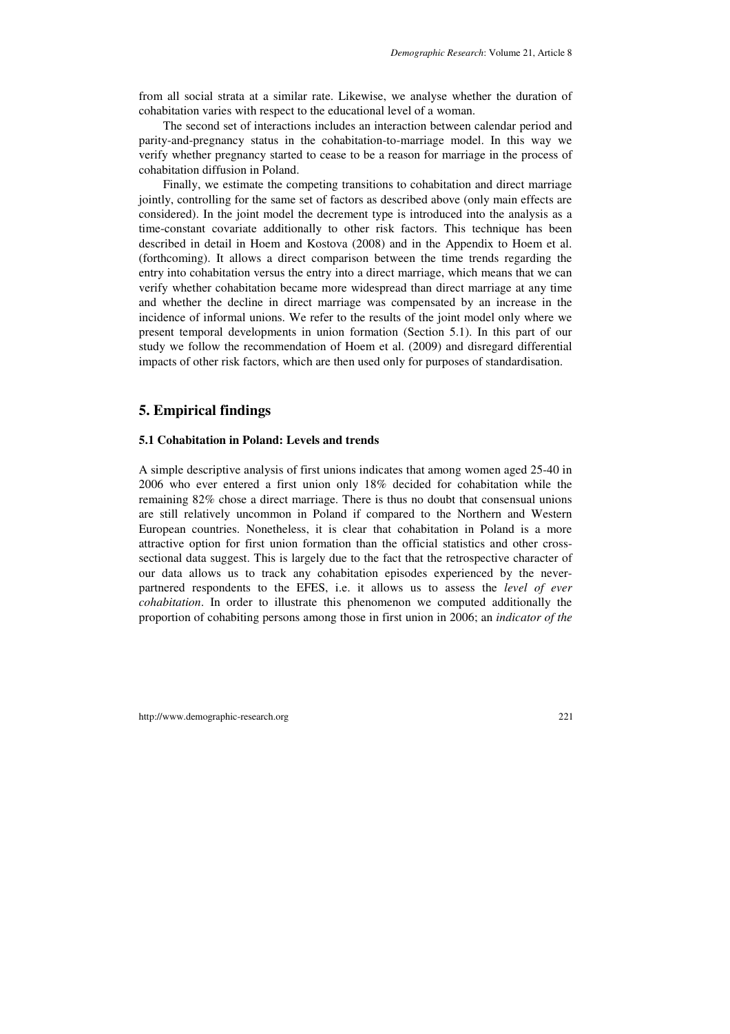from all social strata at a similar rate. Likewise, we analyse whether the duration of cohabitation varies with respect to the educational level of a woman.

The second set of interactions includes an interaction between calendar period and parity-and-pregnancy status in the cohabitation-to-marriage model. In this way we verify whether pregnancy started to cease to be a reason for marriage in the process of cohabitation diffusion in Poland.

Finally, we estimate the competing transitions to cohabitation and direct marriage jointly, controlling for the same set of factors as described above (only main effects are considered). In the joint model the decrement type is introduced into the analysis as a time-constant covariate additionally to other risk factors. This technique has been described in detail in Hoem and Kostova (2008) and in the Appendix to Hoem et al. (forthcoming). It allows a direct comparison between the time trends regarding the entry into cohabitation versus the entry into a direct marriage, which means that we can verify whether cohabitation became more widespread than direct marriage at any time and whether the decline in direct marriage was compensated by an increase in the incidence of informal unions. We refer to the results of the joint model only where we present temporal developments in union formation (Section 5.1). In this part of our study we follow the recommendation of Hoem et al. (2009) and disregard differential impacts of other risk factors, which are then used only for purposes of standardisation.

## **5. Empirical findings**

#### **5.1 Cohabitation in Poland: Levels and trends**

A simple descriptive analysis of first unions indicates that among women aged 25-40 in 2006 who ever entered a first union only 18% decided for cohabitation while the remaining 82% chose a direct marriage. There is thus no doubt that consensual unions are still relatively uncommon in Poland if compared to the Northern and Western European countries. Nonetheless, it is clear that cohabitation in Poland is a more attractive option for first union formation than the official statistics and other crosssectional data suggest. This is largely due to the fact that the retrospective character of our data allows us to track any cohabitation episodes experienced by the neverpartnered respondents to the EFES, i.e. it allows us to assess the *level of ever cohabitation*. In order to illustrate this phenomenon we computed additionally the proportion of cohabiting persons among those in first union in 2006; an *indicator of the*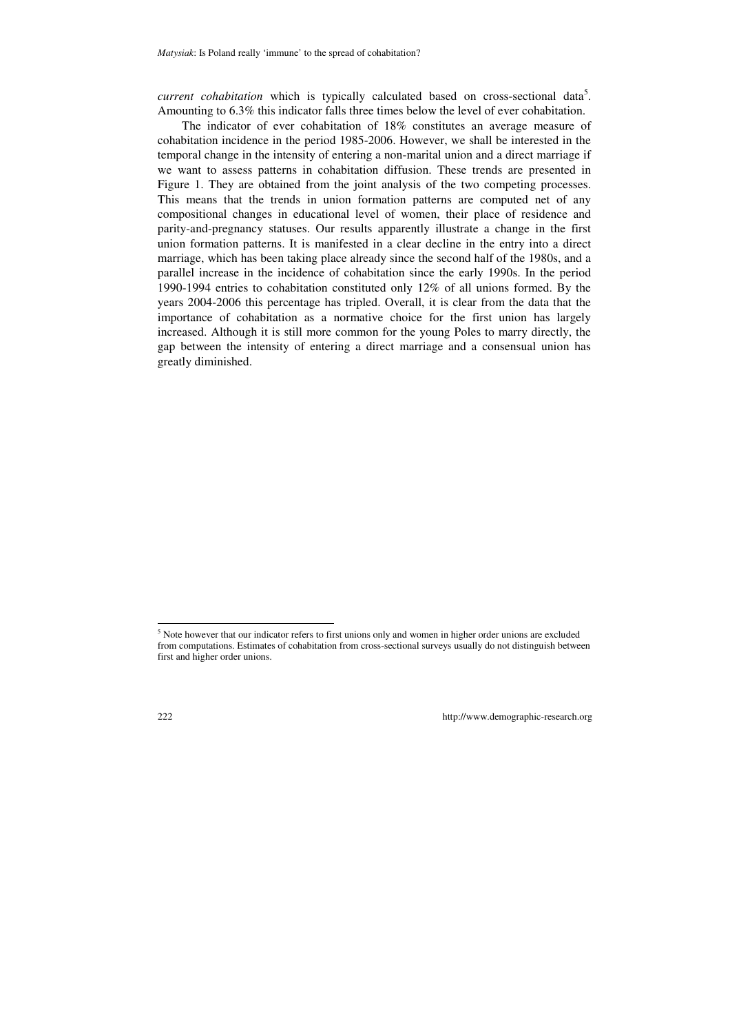*current cohabitation* which is typically calculated based on cross-sectional data<sup>5</sup>. Amounting to 6.3% this indicator falls three times below the level of ever cohabitation.

The indicator of ever cohabitation of 18% constitutes an average measure of cohabitation incidence in the period 1985-2006. However, we shall be interested in the temporal change in the intensity of entering a non-marital union and a direct marriage if we want to assess patterns in cohabitation diffusion. These trends are presented in Figure 1. They are obtained from the joint analysis of the two competing processes. This means that the trends in union formation patterns are computed net of any compositional changes in educational level of women, their place of residence and parity-and-pregnancy statuses. Our results apparently illustrate a change in the first union formation patterns. It is manifested in a clear decline in the entry into a direct marriage, which has been taking place already since the second half of the 1980s, and a parallel increase in the incidence of cohabitation since the early 1990s. In the period 1990-1994 entries to cohabitation constituted only 12% of all unions formed. By the years 2004-2006 this percentage has tripled. Overall, it is clear from the data that the importance of cohabitation as a normative choice for the first union has largely increased. Although it is still more common for the young Poles to marry directly, the gap between the intensity of entering a direct marriage and a consensual union has greatly diminished.

l

<sup>&</sup>lt;sup>5</sup> Note however that our indicator refers to first unions only and women in higher order unions are excluded from computations. Estimates of cohabitation from cross-sectional surveys usually do not distinguish between first and higher order unions.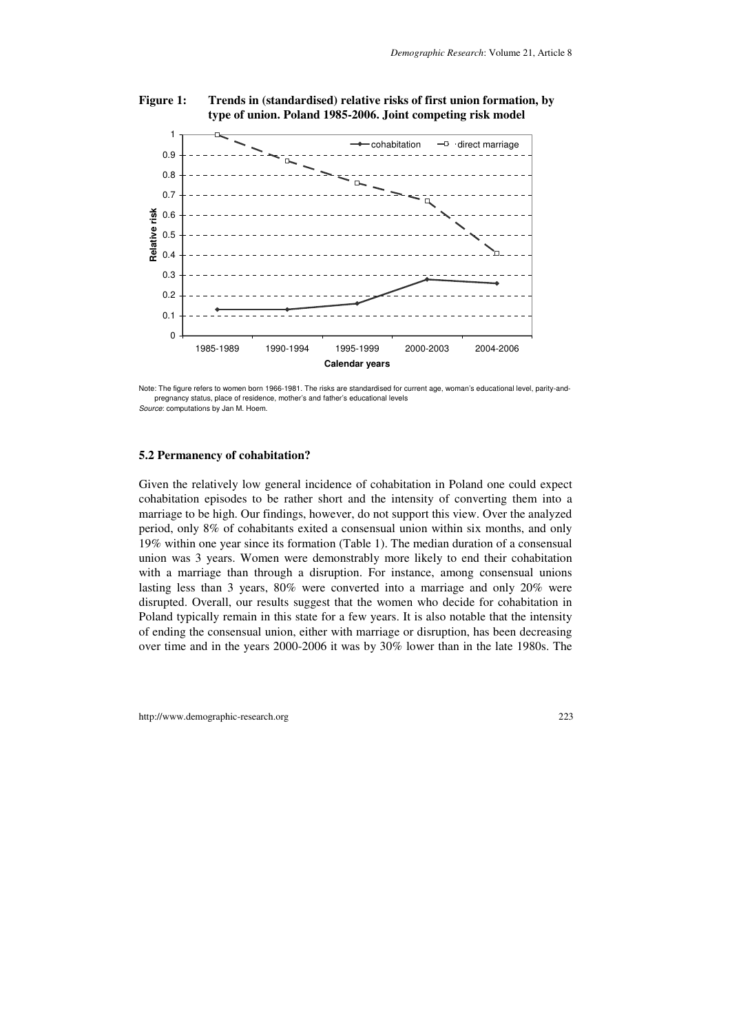

#### **Figure 1: Trends in (standardised) relative risks of first union formation, by type of union. Poland 1985-2006. Joint competing risk model**

Note: The figure refers to women born 1966-1981. The risks are standardised for current age, woman's educational level, parity-andpregnancy status, place of residence, mother's and father's educational levels Source: computations by Jan M. Hoem.

#### **5.2 Permanency of cohabitation?**

Given the relatively low general incidence of cohabitation in Poland one could expect cohabitation episodes to be rather short and the intensity of converting them into a marriage to be high. Our findings, however, do not support this view. Over the analyzed period, only 8% of cohabitants exited a consensual union within six months, and only 19% within one year since its formation (Table 1). The median duration of a consensual union was 3 years. Women were demonstrably more likely to end their cohabitation with a marriage than through a disruption. For instance, among consensual unions lasting less than 3 years, 80% were converted into a marriage and only 20% were disrupted. Overall, our results suggest that the women who decide for cohabitation in Poland typically remain in this state for a few years. It is also notable that the intensity of ending the consensual union, either with marriage or disruption, has been decreasing over time and in the years 2000-2006 it was by 30% lower than in the late 1980s. The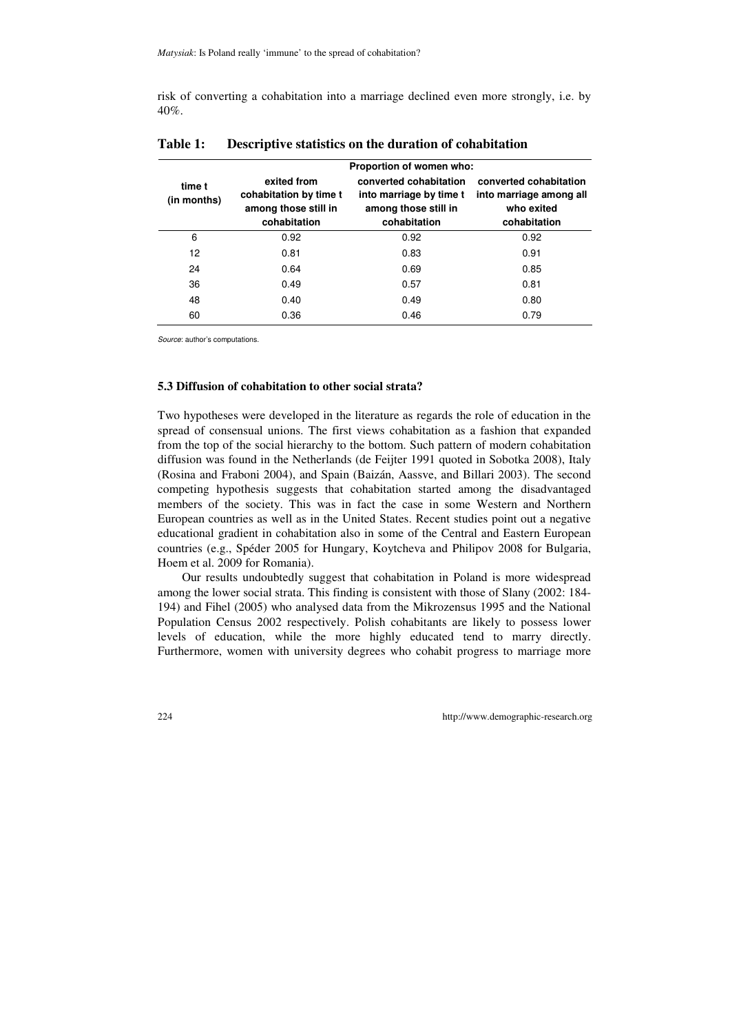risk of converting a cohabitation into a marriage declined even more strongly, i.e. by 40%.

|                       | Proportion of women who:                                                      |                                                                                           |                                                                                 |  |
|-----------------------|-------------------------------------------------------------------------------|-------------------------------------------------------------------------------------------|---------------------------------------------------------------------------------|--|
| time t<br>(in months) | exited from<br>cohabitation by time t<br>among those still in<br>cohabitation | converted cohabitation<br>into marriage by time t<br>among those still in<br>cohabitation | converted cohabitation<br>into marriage among all<br>who exited<br>cohabitation |  |
| 6                     | 0.92                                                                          | 0.92                                                                                      | 0.92                                                                            |  |
| 12                    | 0.81                                                                          | 0.83                                                                                      | 0.91                                                                            |  |
| 24                    | 0.64                                                                          | 0.69                                                                                      | 0.85                                                                            |  |
| 36                    | 0.49                                                                          | 0.57                                                                                      | 0.81                                                                            |  |
| 48                    | 0.40                                                                          | 0.49                                                                                      | 0.80                                                                            |  |
| 60                    | 0.36                                                                          | 0.46                                                                                      | 0.79                                                                            |  |

### **Table 1: Descriptive statistics on the duration of cohabitation**

Source: author's computations.

### **5.3 Diffusion of cohabitation to other social strata?**

Two hypotheses were developed in the literature as regards the role of education in the spread of consensual unions. The first views cohabitation as a fashion that expanded from the top of the social hierarchy to the bottom. Such pattern of modern cohabitation diffusion was found in the Netherlands (de Feijter 1991 quoted in Sobotka 2008), Italy (Rosina and Fraboni 2004), and Spain (Baizán, Aassve, and Billari 2003). The second competing hypothesis suggests that cohabitation started among the disadvantaged members of the society. This was in fact the case in some Western and Northern European countries as well as in the United States. Recent studies point out a negative educational gradient in cohabitation also in some of the Central and Eastern European countries (e.g., Spéder 2005 for Hungary, Koytcheva and Philipov 2008 for Bulgaria, Hoem et al. 2009 for Romania).

Our results undoubtedly suggest that cohabitation in Poland is more widespread among the lower social strata. This finding is consistent with those of Slany (2002: 184- 194) and Fihel (2005) who analysed data from the Mikrozensus 1995 and the National Population Census 2002 respectively. Polish cohabitants are likely to possess lower levels of education, while the more highly educated tend to marry directly. Furthermore, women with university degrees who cohabit progress to marriage more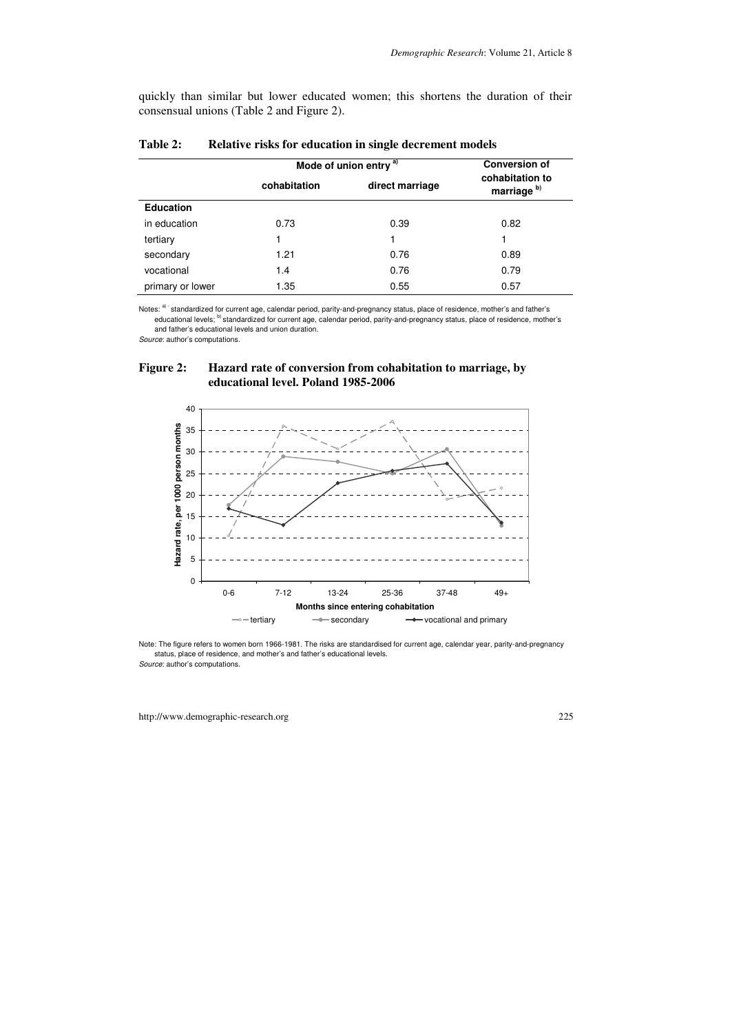quickly than similar but lower educated women; this shortens the duration of their consensual unions (Table 2 and Figure 2).

|                  | Mode of union entry <sup>a)</sup> |                 | <b>Conversion of</b>                      |  |
|------------------|-----------------------------------|-----------------|-------------------------------------------|--|
|                  | cohabitation                      | direct marriage | cohabitation to<br>marriage <sup>b)</sup> |  |
| <b>Education</b> |                                   |                 |                                           |  |
| in education     | 0.73                              | 0.39            | 0.82                                      |  |
| tertiary         |                                   |                 |                                           |  |
| secondary        | 1.21                              | 0.76            | 0.89                                      |  |
| vocational       | 1.4                               | 0.76            | 0.79                                      |  |
| primary or lower | 1.35                              | 0.55            | 0.57                                      |  |

#### **Table 2: Relative risks for education in single decrement models**

Notes: a) standardized for current age, calendar period, parity-and-pregnancy status, place of residence, mother's and father's educational levels; b) standardized for current age, calendar period, parity-and-pregnancy status, place of residence, mother's and father's educational levels and union duration.

Source: author's computations.

### **Figure 2: Hazard rate of conversion from cohabitation to marriage, by educational level. Poland 1985-2006**



Note: The figure refers to women born 1966-1981. The risks are standardised for current age, calendar year, parity-and-pregnancy status, place of residence, and mother's and father's educational levels.

Source: author's computations.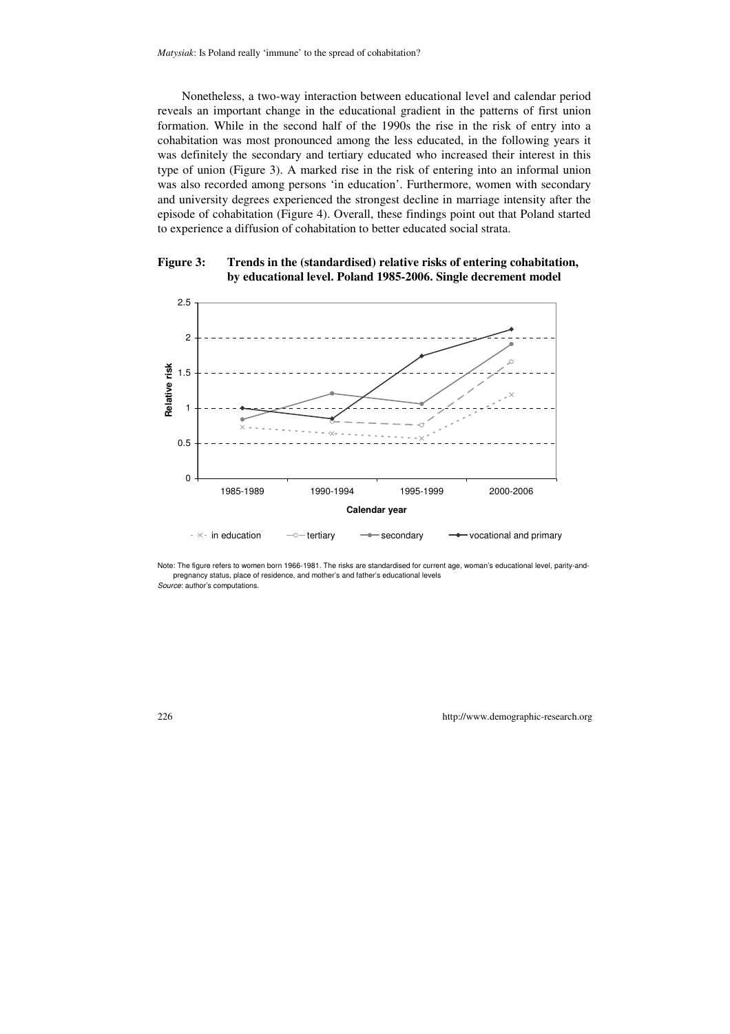Nonetheless, a two-way interaction between educational level and calendar period reveals an important change in the educational gradient in the patterns of first union formation. While in the second half of the 1990s the rise in the risk of entry into a cohabitation was most pronounced among the less educated, in the following years it was definitely the secondary and tertiary educated who increased their interest in this type of union (Figure 3). A marked rise in the risk of entering into an informal union was also recorded among persons 'in education'. Furthermore, women with secondary and university degrees experienced the strongest decline in marriage intensity after the episode of cohabitation (Figure 4). Overall, these findings point out that Poland started to experience a diffusion of cohabitation to better educated social strata.

#### **Figure 3: Trends in the (standardised) relative risks of entering cohabitation, by educational level. Poland 1985-2006. Single decrement model**



Note: The figure refers to women born 1966-1981. The risks are standardised for current age, woman's educational level, parity-andpregnancy status, place of residence, and mother's and father's educational levels Source: author's computations.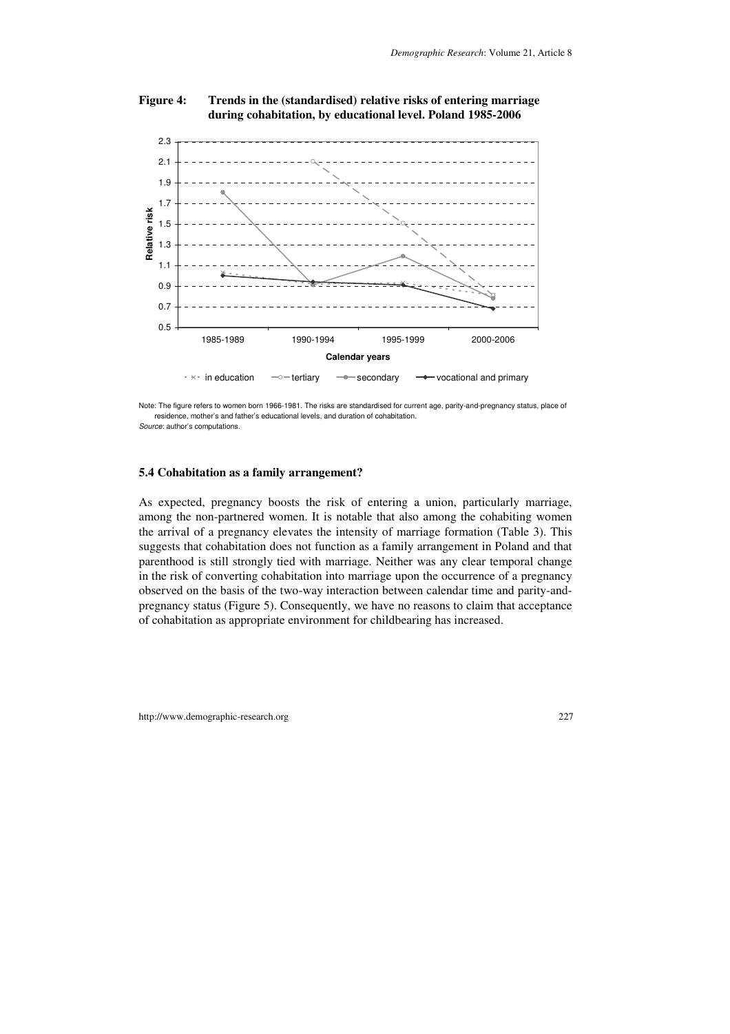

#### **Figure 4: Trends in the (standardised) relative risks of entering marriage during cohabitation, by educational level. Poland 1985-2006**

Note: The figure refers to women born 1966-1981. The risks are standardised for current age, parity-and-pregnancy status, place of residence, mother's and father's educational levels, and duration of cohabitation. Source: author's computations.

#### **5.4 Cohabitation as a family arrangement?**

As expected, pregnancy boosts the risk of entering a union, particularly marriage, among the non-partnered women. It is notable that also among the cohabiting women the arrival of a pregnancy elevates the intensity of marriage formation (Table 3). This suggests that cohabitation does not function as a family arrangement in Poland and that parenthood is still strongly tied with marriage. Neither was any clear temporal change in the risk of converting cohabitation into marriage upon the occurrence of a pregnancy observed on the basis of the two-way interaction between calendar time and parity-andpregnancy status (Figure 5). Consequently, we have no reasons to claim that acceptance of cohabitation as appropriate environment for childbearing has increased.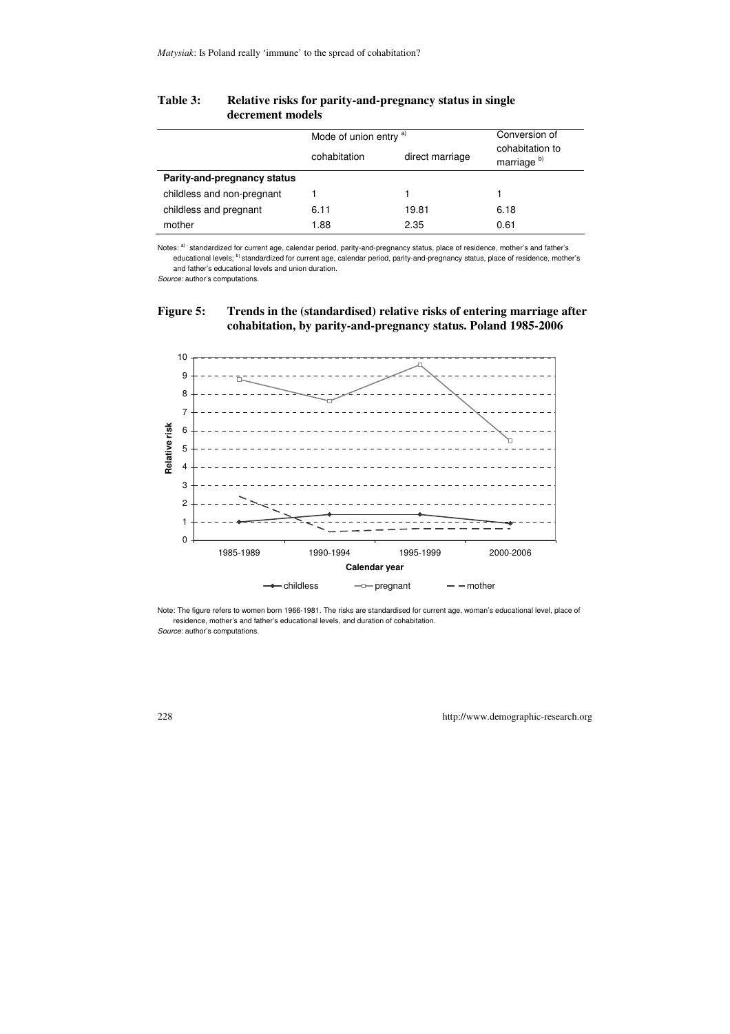|                             | Mode of union entry a) |                 | Conversion of                             |
|-----------------------------|------------------------|-----------------|-------------------------------------------|
|                             | cohabitation           | direct marriage | cohabitation to<br>marriage <sup>b)</sup> |
| Parity-and-pregnancy status |                        |                 |                                           |
| childless and non-pregnant  |                        |                 |                                           |
| childless and pregnant      | 6.11                   | 19.81           | 6.18                                      |
| mother                      | 1.88                   | 2.35            | 0.61                                      |

#### **Table 3: Relative risks for parity-and-pregnancy status in single decrement models**

Notes: a) standardized for current age, calendar period, parity-and-pregnancy status, place of residence, mother's and father's educational levels; <sup>b)</sup> standardized for current age, calendar period, parity-and-pregnancy status, place of residence, mother's and father's educational levels and union duration.

Source: author's computations.

### **Figure 5: Trends in the (standardised) relative risks of entering marriage after cohabitation, by parity-and-pregnancy status. Poland 1985-2006**



Note: The figure refers to women born 1966-1981. The risks are standardised for current age, woman's educational level, place of residence, mother's and father's educational levels, and duration of cohabitation. Source: author's computations.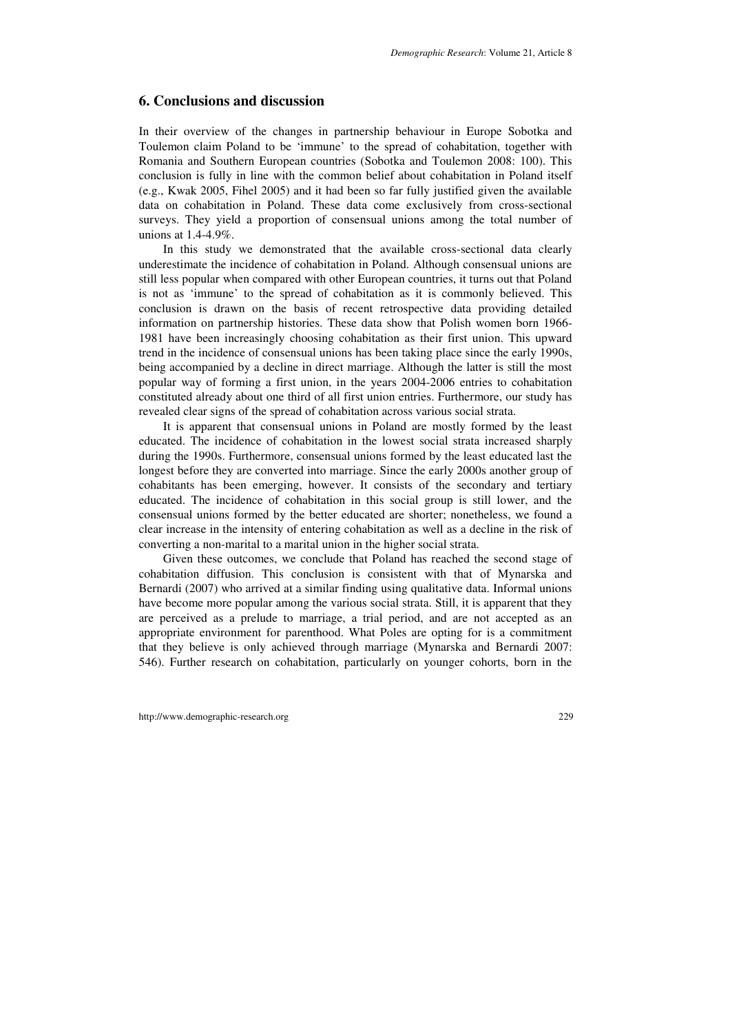### **6. Conclusions and discussion**

In their overview of the changes in partnership behaviour in Europe Sobotka and Toulemon claim Poland to be 'immune' to the spread of cohabitation, together with Romania and Southern European countries (Sobotka and Toulemon 2008: 100). This conclusion is fully in line with the common belief about cohabitation in Poland itself (e.g., Kwak 2005, Fihel 2005) and it had been so far fully justified given the available data on cohabitation in Poland. These data come exclusively from cross-sectional surveys. They yield a proportion of consensual unions among the total number of unions at 1.4-4.9%.

In this study we demonstrated that the available cross-sectional data clearly underestimate the incidence of cohabitation in Poland. Although consensual unions are still less popular when compared with other European countries, it turns out that Poland is not as 'immune' to the spread of cohabitation as it is commonly believed. This conclusion is drawn on the basis of recent retrospective data providing detailed information on partnership histories. These data show that Polish women born 1966- 1981 have been increasingly choosing cohabitation as their first union. This upward trend in the incidence of consensual unions has been taking place since the early 1990s, being accompanied by a decline in direct marriage. Although the latter is still the most popular way of forming a first union, in the years 2004-2006 entries to cohabitation constituted already about one third of all first union entries. Furthermore, our study has revealed clear signs of the spread of cohabitation across various social strata.

It is apparent that consensual unions in Poland are mostly formed by the least educated. The incidence of cohabitation in the lowest social strata increased sharply during the 1990s. Furthermore, consensual unions formed by the least educated last the longest before they are converted into marriage. Since the early 2000s another group of cohabitants has been emerging, however. It consists of the secondary and tertiary educated. The incidence of cohabitation in this social group is still lower, and the consensual unions formed by the better educated are shorter; nonetheless, we found a clear increase in the intensity of entering cohabitation as well as a decline in the risk of converting a non-marital to a marital union in the higher social strata.

Given these outcomes, we conclude that Poland has reached the second stage of cohabitation diffusion. This conclusion is consistent with that of Mynarska and Bernardi (2007) who arrived at a similar finding using qualitative data. Informal unions have become more popular among the various social strata. Still, it is apparent that they are perceived as a prelude to marriage, a trial period, and are not accepted as an appropriate environment for parenthood. What Poles are opting for is a commitment that they believe is only achieved through marriage (Mynarska and Bernardi 2007: 546). Further research on cohabitation, particularly on younger cohorts, born in the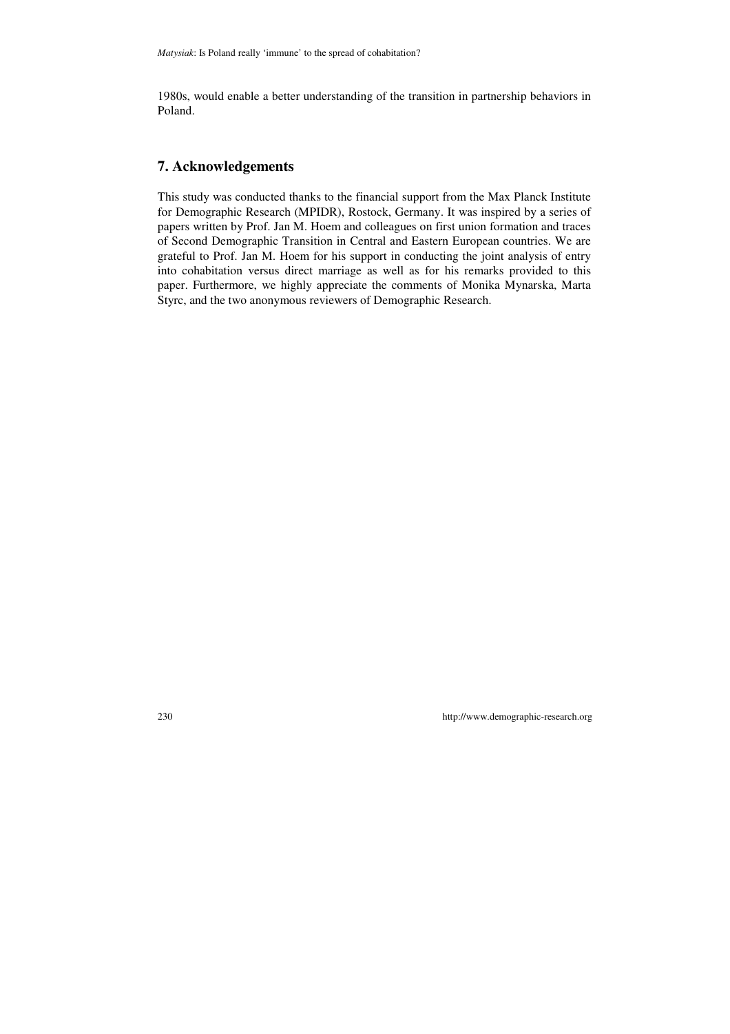1980s, would enable a better understanding of the transition in partnership behaviors in Poland.

## **7. Acknowledgements**

This study was conducted thanks to the financial support from the Max Planck Institute for Demographic Research (MPIDR), Rostock, Germany. It was inspired by a series of papers written by Prof. Jan M. Hoem and colleagues on first union formation and traces of Second Demographic Transition in Central and Eastern European countries. We are grateful to Prof. Jan M. Hoem for his support in conducting the joint analysis of entry into cohabitation versus direct marriage as well as for his remarks provided to this paper. Furthermore, we highly appreciate the comments of Monika Mynarska, Marta Styrc, and the two anonymous reviewers of Demographic Research.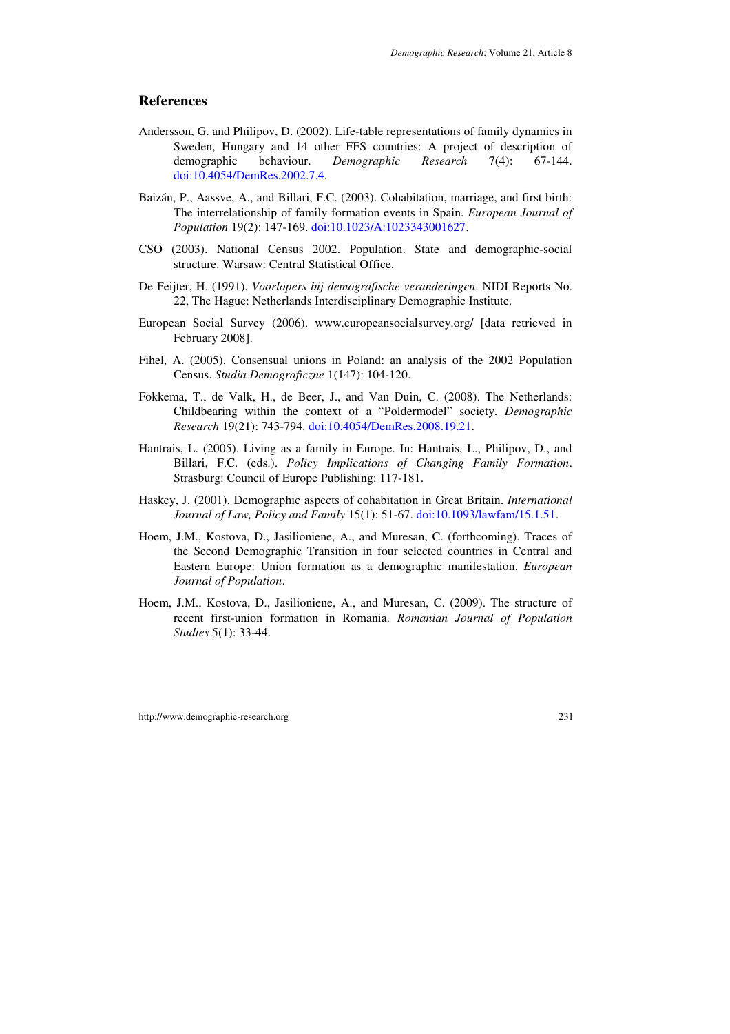## **References**

- Andersson, G. and Philipov, D. (2002). Life-table representations of family dynamics in Sweden, Hungary and 14 other FFS countries: A project of description of demographic behaviour. *Demographic Research* 7(4): 67-144. doi:10.4054/DemRes.2002.7.4.
- Baizán, P., Aassve, A., and Billari, F.C. (2003). Cohabitation, marriage, and first birth: The interrelationship of family formation events in Spain. *European Journal of Population* 19(2): 147-169. doi:10.1023/A:1023343001627.
- CSO (2003). National Census 2002. Population. State and demographic-social structure. Warsaw: Central Statistical Office.
- De Feijter, H. (1991). *Voorlopers bij demografische veranderingen*. NIDI Reports No. 22, The Hague: Netherlands Interdisciplinary Demographic Institute.
- European Social Survey (2006). www.europeansocialsurvey.org/ [data retrieved in February 2008].
- Fihel, A. (2005). Consensual unions in Poland: an analysis of the 2002 Population Census. *Studia Demograficzne* 1(147): 104-120.
- Fokkema, T., de Valk, H., de Beer, J., and Van Duin, C. (2008). The Netherlands: Childbearing within the context of a "Poldermodel" society. *Demographic Research* 19(21): 743-794. doi:10.4054/DemRes.2008.19.21.
- Hantrais, L. (2005). Living as a family in Europe. In: Hantrais, L., Philipov, D., and Billari, F.C. (eds.). *Policy Implications of Changing Family Formation*. Strasburg: Council of Europe Publishing: 117-181.
- Haskey, J. (2001). Demographic aspects of cohabitation in Great Britain. *International Journal of Law, Policy and Family* 15(1): 51-67. doi:10.1093/lawfam/15.1.51.
- Hoem, J.M., Kostova, D., Jasilioniene, A., and Muresan, C. (forthcoming). Traces of the Second Demographic Transition in four selected countries in Central and Eastern Europe: Union formation as a demographic manifestation. *European Journal of Population*.
- Hoem, J.M., Kostova, D., Jasilioniene, A., and Muresan, C. (2009). The structure of recent first-union formation in Romania. *Romanian Journal of Population Studies* 5(1): 33-44.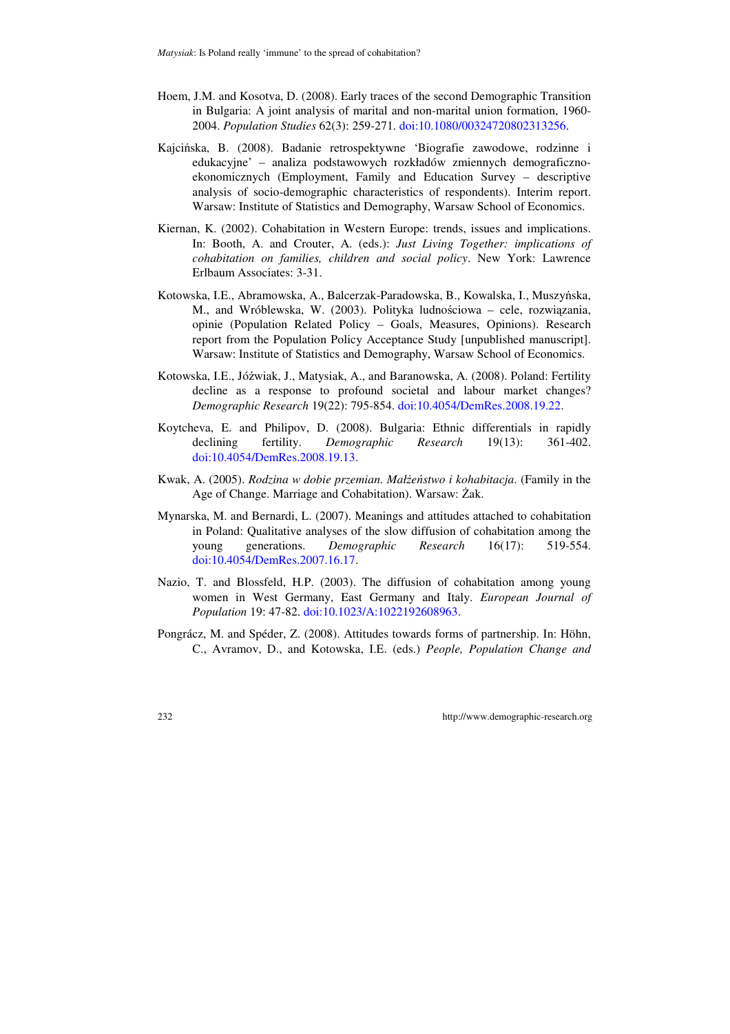- Hoem, J.M. and Kosotva, D. (2008). Early traces of the second Demographic Transition in Bulgaria: A joint analysis of marital and non-marital union formation, 1960- 2004. *Population Studies* 62(3): 259-271. doi:10.1080/00324720802313256.
- Kajcińska, B. (2008). Badanie retrospektywne 'Biografie zawodowe, rodzinne i edukacyjne' – analiza podstawowych rozkładów zmiennych demograficznoekonomicznych (Employment, Family and Education Survey – descriptive analysis of socio-demographic characteristics of respondents). Interim report. Warsaw: Institute of Statistics and Demography, Warsaw School of Economics.
- Kiernan, K. (2002). Cohabitation in Western Europe: trends, issues and implications. In: Booth, A. and Crouter, A. (eds.): *Just Living Together: implications of cohabitation on families, children and social policy*. New York: Lawrence Erlbaum Associates: 3-31.
- Kotowska, I.E., Abramowska, A., Balcerzak-Paradowska, B., Kowalska, I., Muszyńska, M., and Wróblewska, W. (2003). Polityka ludnościowa – cele, rozwiązania, opinie (Population Related Policy – Goals, Measures, Opinions). Research report from the Population Policy Acceptance Study [unpublished manuscript]. Warsaw: Institute of Statistics and Demography, Warsaw School of Economics.
- Kotowska, I.E., Jóźwiak, J., Matysiak, A., and Baranowska, A. (2008). Poland: Fertility decline as a response to profound societal and labour market changes? *Demographic Research* 19(22): 795-854. doi:10.4054/DemRes.2008.19.22.
- Koytcheva, E. and Philipov, D. (2008). Bulgaria: Ethnic differentials in rapidly declining fertility. *Demographic Research* 19(13): 361-402. doi:10.4054/DemRes.2008.19.13.
- Kwak, A. (2005). *Rodzina w dobie przemian. Małżeństwo i kohabitacja*. (Family in the Age of Change. Marriage and Cohabitation). Warsaw: Żak.
- Mynarska, M. and Bernardi, L. (2007). Meanings and attitudes attached to cohabitation in Poland: Qualitative analyses of the slow diffusion of cohabitation among the young generations. *Demographic Research* 16(17): 519-554. doi:10.4054/DemRes.2007.16.17.
- Nazio, T. and Blossfeld, H.P. (2003). The diffusion of cohabitation among young women in West Germany, East Germany and Italy. *European Journal of Population* 19: 47-82. doi:10.1023/A:1022192608963.
- Pongrácz, M. and Spéder, Z. (2008). Attitudes towards forms of partnership. In: Höhn, C., Avramov, D., and Kotowska, I.E. (eds.) *People, Population Change and*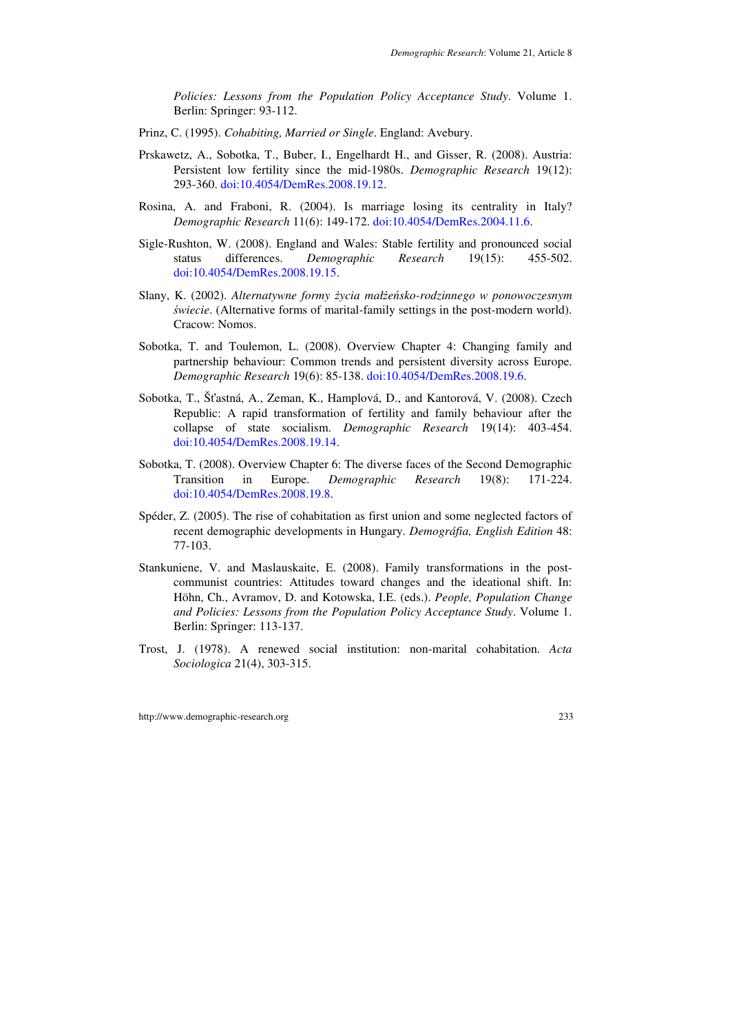*Policies: Lessons from the Population Policy Acceptance Study*. Volume 1. Berlin: Springer: 93-112.

- Prinz, C. (1995). *Cohabiting, Married or Single*. England: Avebury.
- Prskawetz, A., Sobotka, T., Buber, I., Engelhardt H., and Gisser, R. (2008). Austria: Persistent low fertility since the mid-1980s. *Demographic Research* 19(12): 293-360. doi:10.4054/DemRes.2008.19.12.
- Rosina, A. and Fraboni, R. (2004). Is marriage losing its centrality in Italy? *Demographic Research* 11(6): 149-172. doi:10.4054/DemRes.2004.11.6.
- Sigle-Rushton, W. (2008). England and Wales: Stable fertility and pronounced social status differences. *Demographic Research* 19(15): 455-502. doi:10.4054/DemRes.2008.19.15.
- Slany, K. (2002). *Alternatywne formy życia małżeńsko-rodzinnego w ponowoczesnym* ś*wiecie*. (Alternative forms of marital-family settings in the post-modern world). Cracow: Nomos.
- Sobotka, T. and Toulemon, L. (2008). Overview Chapter 4: Changing family and partnership behaviour: Common trends and persistent diversity across Europe. *Demographic Research* 19(6): 85-138. doi:10.4054/DemRes.2008.19.6.
- Sobotka, T., Šťastná, A., Zeman, K., Hamplová, D., and Kantorová, V. (2008). Czech Republic: A rapid transformation of fertility and family behaviour after the collapse of state socialism. *Demographic Research* 19(14): 403-454. doi:10.4054/DemRes.2008.19.14.
- Sobotka, T. (2008). Overview Chapter 6: The diverse faces of the Second Demographic Transition in Europe. *Demographic Research* 19(8): 171-224. doi:10.4054/DemRes.2008.19.8.
- Spéder, Z. (2005). The rise of cohabitation as first union and some neglected factors of recent demographic developments in Hungary. *Demográfia, English Edition* 48: 77-103.
- Stankuniene, V. and Maslauskaite, E. (2008). Family transformations in the postcommunist countries: Attitudes toward changes and the ideational shift. In: Höhn, Ch., Avramov, D. and Kotowska, I.E. (eds.). *People, Population Change and Policies: Lessons from the Population Policy Acceptance Study*. Volume 1. Berlin: Springer: 113-137.
- Trost, J. (1978). A renewed social institution: non-marital cohabitation. *Acta Sociologica* 21(4), 303-315.